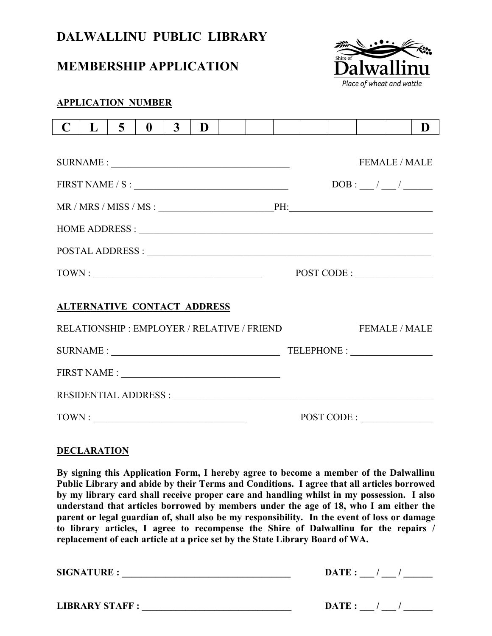# **DALWALLINU PUBLIC LIBRARY**

## **MEMBERSHIP APPLICATION**



### **APPLICATION NUMBER**

| C                                                                          | $\bf{L}$                           | $\overline{5}$ | $\mathbf{0}$ | $\mathbf{3}$ | D |  |  |  |                                                  |  |  |                    | D |  |  |
|----------------------------------------------------------------------------|------------------------------------|----------------|--------------|--------------|---|--|--|--|--------------------------------------------------|--|--|--------------------|---|--|--|
|                                                                            |                                    |                |              |              |   |  |  |  |                                                  |  |  |                    |   |  |  |
|                                                                            |                                    |                |              |              |   |  |  |  | <b>FEMALE / MALE</b>                             |  |  |                    |   |  |  |
| $\text{FIRST NAME / S}: \underline{\hspace{2.5cm} \qquad \hspace{2.8cm} }$ |                                    |                |              |              |   |  |  |  |                                                  |  |  |                    |   |  |  |
|                                                                            |                                    |                |              |              |   |  |  |  |                                                  |  |  |                    |   |  |  |
|                                                                            |                                    |                |              |              |   |  |  |  |                                                  |  |  |                    |   |  |  |
|                                                                            |                                    |                |              |              |   |  |  |  |                                                  |  |  |                    |   |  |  |
|                                                                            |                                    |                |              |              |   |  |  |  |                                                  |  |  |                    |   |  |  |
| TOWN:                                                                      |                                    |                |              |              |   |  |  |  | $\texttt{POST CODE}: \underline{\hspace{1.5cm}}$ |  |  |                    |   |  |  |
|                                                                            |                                    |                |              |              |   |  |  |  |                                                  |  |  |                    |   |  |  |
|                                                                            | <b>ALTERNATIVE CONTACT ADDRESS</b> |                |              |              |   |  |  |  |                                                  |  |  |                    |   |  |  |
| RELATIONSHIP: EMPLOYER / RELATIVE / FRIEND                                 |                                    |                |              |              |   |  |  |  |                                                  |  |  | <b>FEMALE/MALE</b> |   |  |  |
|                                                                            |                                    |                |              |              |   |  |  |  |                                                  |  |  |                    |   |  |  |
|                                                                            |                                    |                |              |              |   |  |  |  |                                                  |  |  |                    |   |  |  |
|                                                                            |                                    |                |              |              |   |  |  |  |                                                  |  |  |                    |   |  |  |
| TOWN:                                                                      |                                    |                |              |              |   |  |  |  | POST CODE:                                       |  |  |                    |   |  |  |

#### **DECLARATION**

**By signing this Application Form, I hereby agree to become a member of the Dalwallinu Public Library and abide by their Terms and Conditions. I agree that all articles borrowed by my library card shall receive proper care and handling whilst in my possession. I also understand that articles borrowed by members under the age of 18, who I am either the parent or legal guardian of, shall also be my responsibility. In the event of loss or damage to library articles, I agree to recompense the Shire of Dalwallinu for the repairs / replacement of each article at a price set by the State Library Board of WA.**

**SIGNATURE : \_\_\_\_\_\_\_\_\_\_\_\_\_\_\_\_\_\_\_\_\_\_\_\_\_\_\_\_\_\_\_\_\_\_\_ DATE : \_\_\_ / \_\_\_ / \_\_\_\_\_\_ LIBRARY STAFF : \_\_\_\_\_\_\_\_\_\_\_\_\_\_\_\_\_\_\_\_\_\_\_\_\_\_\_\_\_\_\_ DATE : \_\_\_ / \_\_\_ / \_\_\_\_\_\_**